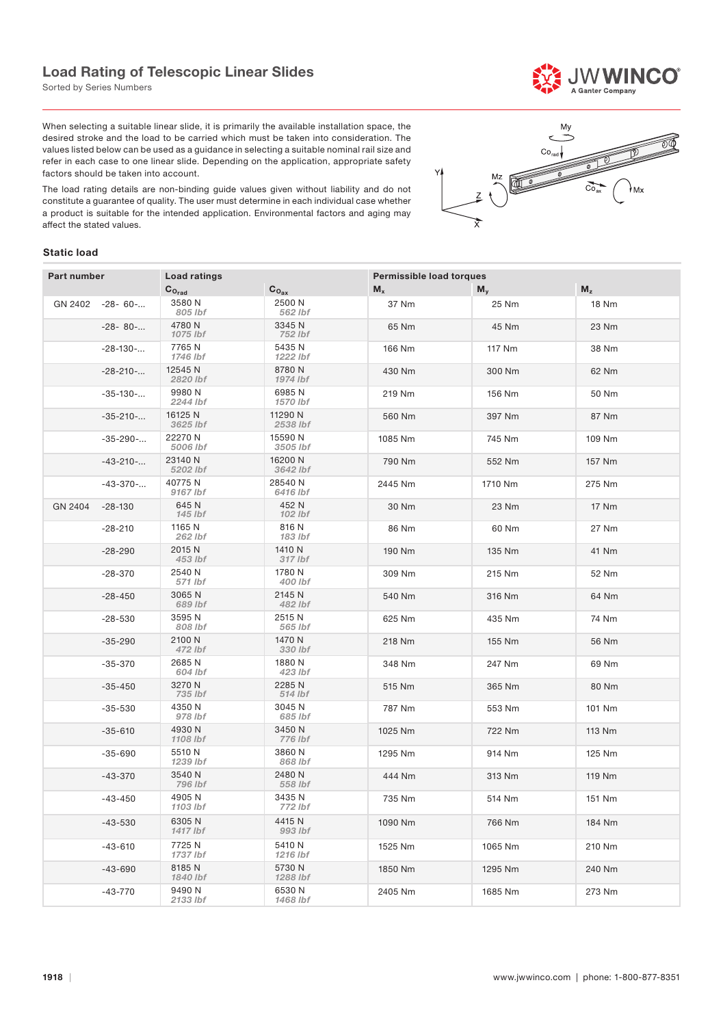## Load Rating of Telescopic Linear Slides

Sorted by Series Numbers

When selecting a suitable linear slide, it is primarily the available installation space, the desired stroke and the load to be carried which must be taken into consideration. The values listed below can be used as a guidance in selecting a suitable nominal rail size and refer in each case to one linear slide. Depending on the application, appropriate safety factors should be taken into account.

The load rating details are non-binding guide values given without liability and do not constitute a guarantee of quality. The user must determine in each individual case whether a product is suitable for the intended application. Environmental factors and aging may affect the stated values.

# Mv  $Co$  $M_Z$  $\overline{Co_{av}}$ ∤м×

### Static load

| <b>Part number</b> |                    | <b>Load ratings</b> |                     | Permissible load torques |         |              |  |
|--------------------|--------------------|---------------------|---------------------|--------------------------|---------|--------------|--|
|                    |                    | $C_{O_{rad}}$       | $C_{O_{\text{ax}}}$ | $M_{x}$                  | $M_{v}$ | $M_z$        |  |
| GN 2402            | $-28 - 60 - \dots$ | 3580 N<br>805 lbf   | 2500 N<br>562 lbf   | 37 Nm                    | 25 Nm   | <b>18 Nm</b> |  |
|                    | $-28 - 80 - \dots$ | 4780 N<br>1075 lbf  | 3345 N<br>752 lbf   | 65 Nm                    | 45 Nm   | 23 Nm        |  |
|                    | $-28 - 130 - $     | 7765 N<br>1746 lbf  | 5435 N<br>1222 lbf  | 166 Nm                   | 117 Nm  | 38 Nm        |  |
|                    | $-28-210-$         | 12545 N<br>2820 lbf | 8780N<br>1974 lbf   | 430 Nm                   | 300 Nm  | 62 Nm        |  |
|                    | $-35-130-$         | 9980 N<br>2244 lbf  | 6985N<br>1570 lbf   | 219 Nm                   | 156 Nm  | 50 Nm        |  |
|                    | $-35 - 210 - $     | 16125 N<br>3625 lbf | 11290 N<br>2538 lbf | 560 Nm                   | 397 Nm  | 87 Nm        |  |
|                    | $-35 - 290 - $     | 22270 N<br>5006 lbf | 15590 N<br>3505 lbf | 1085 Nm                  | 745 Nm  | 109 Nm       |  |
|                    | $-43-210-$         | 23140 N<br>5202 lbf | 16200 N<br>3642 lbf | 790 Nm                   | 552 Nm  | 157 Nm       |  |
|                    | $-43-370-$         | 40775N<br>9167 lbf  | 28540 N<br>6416 lbf | 2445 Nm                  | 1710 Nm | 275 Nm       |  |
| GN 2404            | $-28-130$          | 645 N<br>145 lbf    | 452 N<br>102 lbf    | 30 Nm                    | 23 Nm   | 17 Nm        |  |
|                    | $-28-210$          | 1165 N<br>262 lbf   | 816 N<br>183 Ibf    | 86 Nm                    | 60 Nm   | 27 Nm        |  |
|                    | $-28-290$          | 2015 N<br>453 lbf   | 1410 N<br>317 lbf   | 190 Nm                   | 135 Nm  | 41 Nm        |  |
|                    | $-28-370$          | 2540 N<br>571 lbf   | 1780 N<br>400 lbf   | 309 Nm                   | 215 Nm  | 52 Nm        |  |
|                    | $-28 - 450$        | 3065N<br>689 lbf    | 2145 N<br>482 lbf   | 540 Nm                   | 316 Nm  | 64 Nm        |  |
|                    | $-28-530$          | 3595N<br>808 lbf    | 2515 N<br>565 lbf   | 625 Nm                   | 435 Nm  | 74 Nm        |  |
|                    | $-35 - 290$        | 2100 N<br>472 lbf   | 1470 N<br>330 lbf   | 218 Nm                   | 155 Nm  | 56 Nm        |  |
|                    | $-35-370$          | 2685N<br>604 lbf    | 1880 N<br>423 lbf   | 348 Nm                   | 247 Nm  | 69 Nm        |  |
|                    | $-35 - 450$        | 3270 N<br>735 lbf   | 2285 N<br>514 lbf   | 515 Nm                   | 365 Nm  | 80 Nm        |  |
|                    | $-35 - 530$        | 4350 N<br>978 lbf   | 3045 N<br>685 lbf   | 787 Nm                   | 553 Nm  | 101 Nm       |  |
|                    | $-35 - 610$        | 4930 N<br>1108 lbf  | 3450 N<br>776 lbf   | 1025 Nm                  | 722 Nm  | 113 Nm       |  |
|                    | $-35 - 690$        | 5510 N<br>1239 lbf  | 3860N<br>868 lbf    | 1295 Nm                  | 914 Nm  | 125 Nm       |  |
|                    | $-43-370$          | 3540 N<br>796 lbf   | 2480 N<br>558 lbf   | 444 Nm                   | 313 Nm  | 119 Nm       |  |
|                    | -43-450            | 4905N<br>1103 lbf   | 3435 N<br>772 lbf   | 735 Nm                   | 514 Nm  | 151 Nm       |  |
|                    | $-43 - 530$        | 6305N<br>1417 lbf   | 4415 N<br>993 lbf   | 1090 Nm                  | 766 Nm  | 184 Nm       |  |
|                    | $-43 - 610$        | 7725 N<br>1737 lbf  | 5410 N<br>1216 lbf  | 1525 Nm                  | 1065 Nm | 210 Nm       |  |
|                    | $-43 - 690$        | 8185 N<br>1840 lbf  | 5730 N<br>1288 lbf  | 1850 Nm                  | 1295 Nm | 240 Nm       |  |
|                    | $-43-770$          | 9490 N<br>2133 lbf  | 6530N<br>1468 lbf   | 2405 Nm                  | 1685 Nm | 273 Nm       |  |